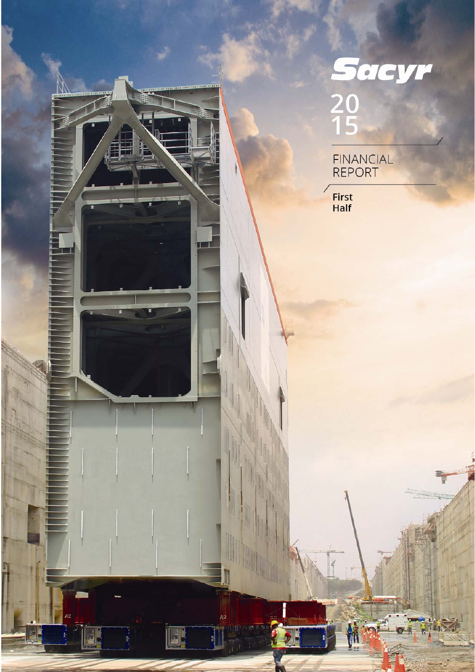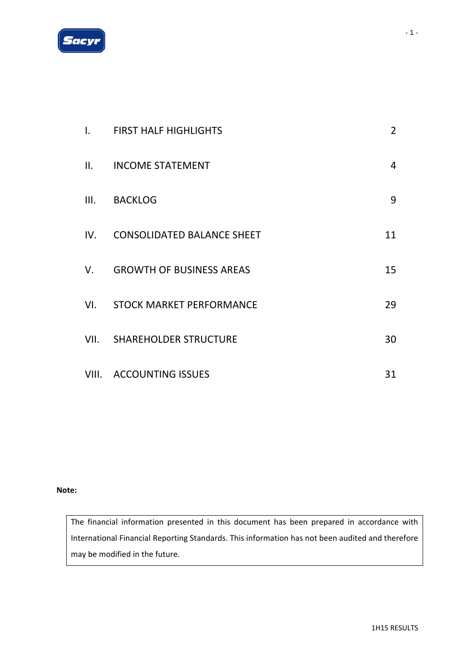

| $\mathbf{L}$ | <b>FIRST HALF HIGHLIGHTS</b>      | $\overline{2}$ |
|--------------|-----------------------------------|----------------|
| II.          | <b>INCOME STATEMENT</b>           | $\overline{4}$ |
| III.         | <b>BACKLOG</b>                    | 9              |
| IV.          | <b>CONSOLIDATED BALANCE SHEET</b> | 11             |
| $V_{\cdot}$  | <b>GROWTH OF BUSINESS AREAS</b>   | 15             |
| VI.          | <b>STOCK MARKET PERFORMANCE</b>   | 29             |
|              | VII. SHAREHOLDER STRUCTURE        | 30             |
|              | VIII. ACCOUNTING ISSUES           | 31             |

#### **Note:**

The financial information presented in this document has been prepared in accordance with International Financial Reporting Standards. This information has not been audited and therefore may be modified in the future.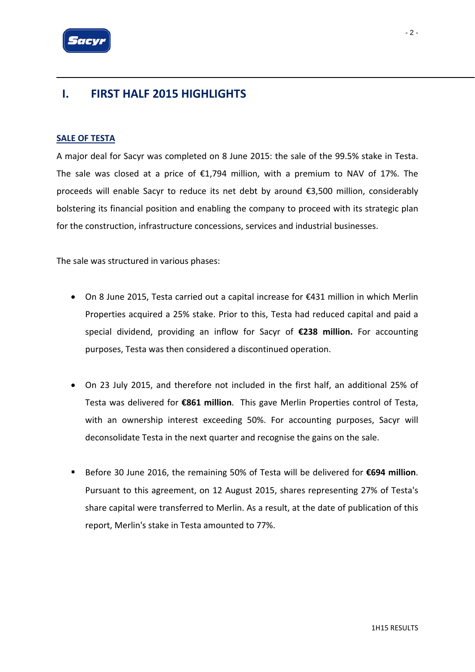

### **I. FIRST HALF 2015 HIGHLIGHTS**

#### **SALE OF TESTA**

A major deal for Sacyr was completed on 8 June 2015: the sale of the 99.5% stake in Testa. The sale was closed at a price of  $£1,794$  million, with a premium to NAV of 17%. The proceeds will enable Sacyr to reduce its net debt by around €3,500 million, considerably bolstering its financial position and enabling the company to proceed with its strategic plan for the construction, infrastructure concessions, services and industrial businesses.

The sale was structured in various phases:

- On 8 June 2015, Testa carried out a capital increase for €431 million in which Merlin Properties acquired a 25% stake. Prior to this, Testa had reduced capital and paid a special dividend, providing an inflow for Sacyr of **€238 million.** For accounting purposes, Testa was then considered a discontinued operation.
- On 23 July 2015, and therefore not included in the first half, an additional 25% of Testa was delivered for **€861 million**. This gave Merlin Properties control of Testa, with an ownership interest exceeding 50%. For accounting purposes, Sacyr will deconsolidate Testa in the next quarter and recognise the gains on the sale.
- Before 30 June 2016, the remaining 50% of Testa will be delivered for **€694 million**. Pursuant to this agreement, on 12 August 2015, shares representing 27% of Testa's share capital were transferred to Merlin. As a result, at the date of publication of this report, Merlin's stake in Testa amounted to 77%.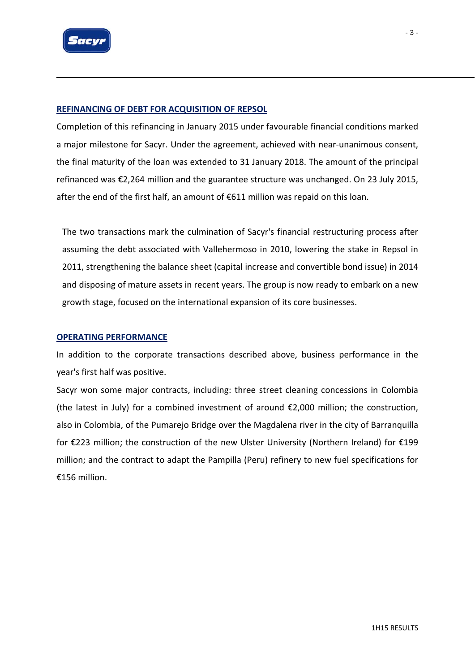

#### **REFINANCING OF DEBT FOR ACQUISITION OF REPSOL**

Completion of this refinancing in January 2015 under favourable financial conditions marked a major milestone for Sacyr. Under the agreement, achieved with near-unanimous consent, the final maturity of the loan was extended to 31 January 2018. The amount of the principal refinanced was €2,264 million and the guarantee structure was unchanged. On 23 July 2015, after the end of the first half, an amount of €611 million was repaid on this loan.

The two transactions mark the culmination of Sacyr's financial restructuring process after assuming the debt associated with Vallehermoso in 2010, lowering the stake in Repsol in 2011, strengthening the balance sheet (capital increase and convertible bond issue) in 2014 and disposing of mature assets in recent years. The group is now ready to embark on a new growth stage, focused on the international expansion of its core businesses.

#### **OPERATING PERFORMANCE**

In addition to the corporate transactions described above, business performance in the year's first half was positive.

Sacyr won some major contracts, including: three street cleaning concessions in Colombia (the latest in July) for a combined investment of around €2,000 million; the construction, also in Colombia, of the Pumarejo Bridge over the Magdalena river in the city of Barranquilla for €223 million; the construction of the new Ulster University (Northern Ireland) for €199 million; and the contract to adapt the Pampilla (Peru) refinery to new fuel specifications for €156 million.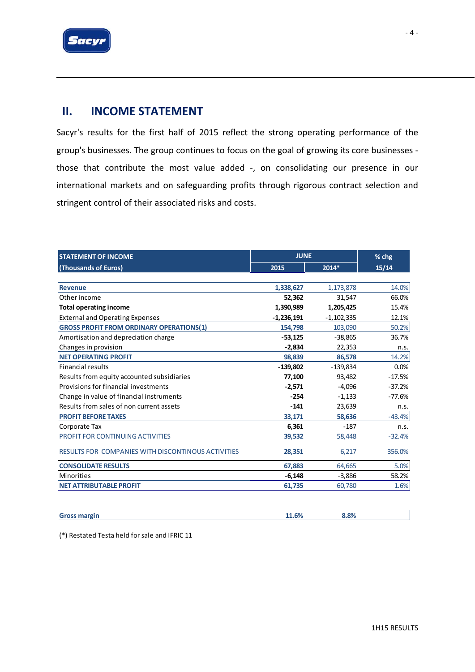

### **II. INCOME STATEMENT**

Sacyr's results for the first half of 2015 reflect the strong operating performance of the group's businesses. The group continues to focus on the goal of growing its core businesses ‐ those that contribute the most value added ‐, on consolidating our presence in our international markets and on safeguarding profits through rigorous contract selection and stringent control of their associated risks and costs.

| <b>STATEMENT OF INCOME</b>                                | <b>JUNE</b>  | $%$ chg        |          |
|-----------------------------------------------------------|--------------|----------------|----------|
| (Thousands of Euros)                                      | 2015         | $2014*$        | 15/14    |
|                                                           |              |                |          |
| <b>Revenue</b>                                            | 1,338,627    | 1,173,878      | 14.0%    |
| Other income                                              | 52,362       | 31,547         | 66.0%    |
| <b>Total operating income</b>                             | 1,390,989    | 1,205,425      | 15.4%    |
| <b>External and Operating Expenses</b>                    | $-1,236,191$ | $-1, 102, 335$ | 12.1%    |
| <b>GROSS PROFIT FROM ORDINARY OPERATIONS(1)</b>           | 154,798      | 103,090        | 50.2%    |
| Amortisation and depreciation charge                      | $-53,125$    | $-38,865$      | 36.7%    |
| Changes in provision                                      | $-2,834$     | 22,353         | n.s.     |
| <b>NET OPERATING PROFIT</b>                               | 98,839       | 86,578         | 14.2%    |
| <b>Financial results</b>                                  | $-139,802$   | $-139,834$     | 0.0%     |
| Results from equity accounted subsidiaries                | 77,100       | 93,482         | $-17.5%$ |
| Provisions for financial investments                      | $-2,571$     | $-4,096$       | $-37.2%$ |
| Change in value of financial instruments                  | $-254$       | $-1,133$       | $-77.6%$ |
| Results from sales of non current assets                  | $-141$       | 23,639         | n.s.     |
| <b>PROFIT BEFORE TAXES</b>                                | 33,171       | 58,636         | $-43.4%$ |
| Corporate Tax                                             | 6,361        | $-187$         | n.S.     |
| PROFIT FOR CONTINUING ACTIVITIES                          | 39,532       | 58,448         | $-32.4%$ |
| <b>RESULTS FOR COMPANIES WITH DISCONTINOUS ACTIVITIES</b> | 28,351       | 6,217          | 356.0%   |
| <b>CONSOLIDATE RESULTS</b>                                | 67,883       | 64,665         | 5.0%     |
| <b>Minorities</b>                                         | $-6,148$     | $-3,886$       | 58.2%    |
| <b>INET ATTRIBUTABLE PROFIT</b>                           | 61,735       | 60,780         | 1.6%     |

| $\sim$ | rn.<br>$-11000$ | 90/ |
|--------|-----------------|-----|
|        |                 |     |

(\*) Restated Testa held forsale and IFRIC 11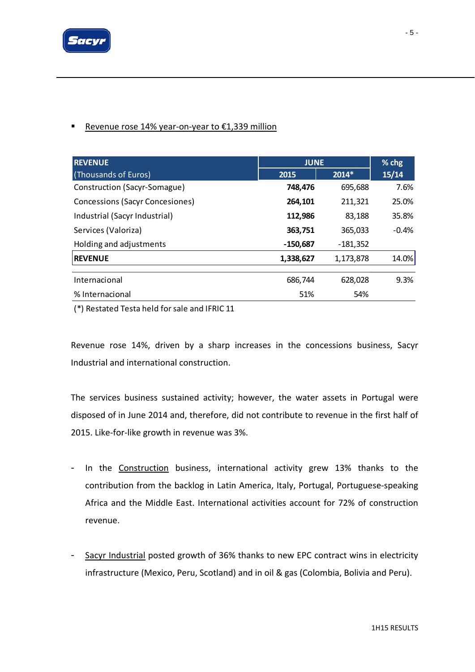

### ■ Revenue rose 14% year-on-year to €1,339 million

| <b>REVENUE</b>                  | <b>JUNE</b> | % chg      |         |
|---------------------------------|-------------|------------|---------|
| (Thousands of Euros)            | 2015        | $2014*$    | 15/14   |
| Construction (Sacyr-Somague)    | 748,476     | 695,688    | 7.6%    |
| Concessions (Sacyr Concesiones) | 264,101     | 211,321    | 25.0%   |
| Industrial (Sacyr Industrial)   | 112,986     | 83,188     | 35.8%   |
| Services (Valoriza)             | 363,751     | 365,033    | $-0.4%$ |
| Holding and adjustments         | $-150,687$  | $-181,352$ |         |
| <b>REVENUE</b>                  | 1,338,627   | 1,173,878  | 14.0%   |
|                                 |             |            |         |
| Internacional                   | 686,744     | 628,028    | 9.3%    |
| % Internacional                 | 51%         | 54%        |         |

(\*) Restated Testa held forsale and IFRIC 11

Revenue rose 14%, driven by a sharp increases in the concessions business, Sacyr Industrial and international construction.

The services business sustained activity; however, the water assets in Portugal were disposed of in June 2014 and, therefore, did not contribute to revenue in the first half of 2015. Like‐for‐like growth in revenue was 3%.

- In the Construction business, international activity grew 13% thanks to the contribution from the backlog in Latin America, Italy, Portugal, Portuguese‐speaking Africa and the Middle East. International activities account for 72% of construction revenue.
- Sacyr Industrial posted growth of 36% thanks to new EPC contract wins in electricity infrastructure (Mexico, Peru, Scotland) and in oil & gas (Colombia, Bolivia and Peru).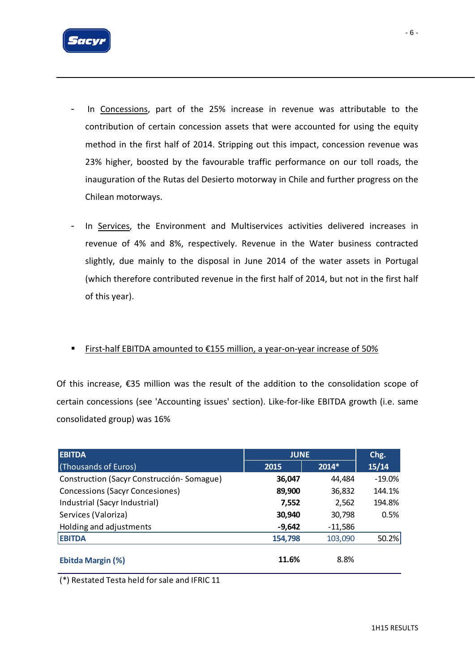

- In Concessions, part of the 25% increase in revenue was attributable to the contribution of certain concession assets that were accounted for using the equity method in the first half of 2014. Stripping out this impact, concession revenue was 23% higher, boosted by the favourable traffic performance on our toll roads, the inauguration of the Rutas del Desierto motorway in Chile and further progress on the Chilean motorways.
- In Services, the Environment and Multiservices activities delivered increases in revenue of 4% and 8%, respectively. Revenue in the Water business contracted slightly, due mainly to the disposal in June 2014 of the water assets in Portugal (which therefore contributed revenue in the first half of 2014, but not in the first half of this year).

#### First‐half EBITDA amounted to €155 million, a year‐on‐year increase of 50%

Of this increase, €35 million was the result of the addition to the consolidation scope of certain concessions (see 'Accounting issues' section). Like‐for‐like EBITDA growth (i.e. same consolidated group) was 16%

| <b>EBITDA</b>                             | <b>JUNE</b> | Chg.      |          |
|-------------------------------------------|-------------|-----------|----------|
| (Thousands of Euros)                      | 2015        | $2014*$   | 15/14    |
| Construction (Sacyr Construcción-Somague) | 36,047      | 44,484    | $-19.0%$ |
| Concessions (Sacyr Concesiones)           | 89,900      | 36,832    | 144.1%   |
| Industrial (Sacyr Industrial)             | 7,552       | 2,562     | 194.8%   |
| Services (Valoriza)                       | 30,940      | 30,798    | 0.5%     |
| Holding and adjustments                   | $-9,642$    | $-11,586$ |          |
| <b>EBITDA</b>                             | 154,798     | 103,090   | 50.2%    |
| Ebitda Margin (%)                         | 11.6%       | 8.8%      |          |

(\*) Restated Testa held forsale and IFRIC 11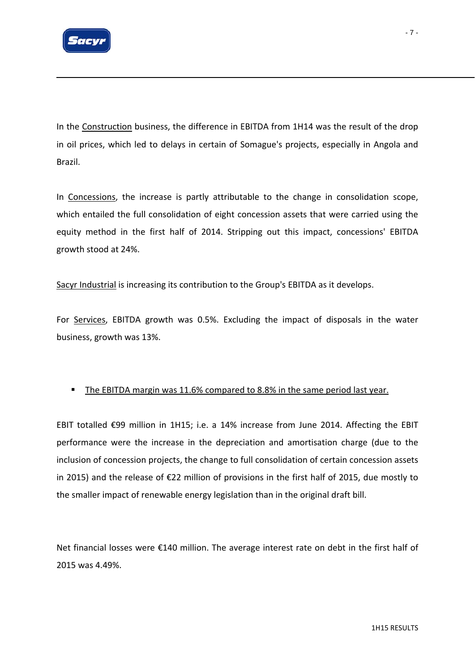

In the Construction business, the difference in EBITDA from 1H14 was the result of the drop in oil prices, which led to delays in certain of Somague's projects, especially in Angola and Brazil.

In Concessions, the increase is partly attributable to the change in consolidation scope, which entailed the full consolidation of eight concession assets that were carried using the equity method in the first half of 2014. Stripping out this impact, concessions' EBITDA growth stood at 24%.

Sacyr Industrial is increasing its contribution to the Group's EBITDA as it develops.

For Services, EBITDA growth was 0.5%. Excluding the impact of disposals in the water business, growth was 13%.

#### The EBITDA margin was 11.6% compared to 8.8% in the same period last year.

EBIT totalled €99 million in 1H15; i.e. a 14% increase from June 2014. Affecting the EBIT performance were the increase in the depreciation and amortisation charge (due to the inclusion of concession projects, the change to full consolidation of certain concession assets in 2015) and the release of €22 million of provisions in the first half of 2015, due mostly to the smaller impact of renewable energy legislation than in the original draft bill.

Net financial losses were €140 million. The average interest rate on debt in the first half of 2015 was 4.49%.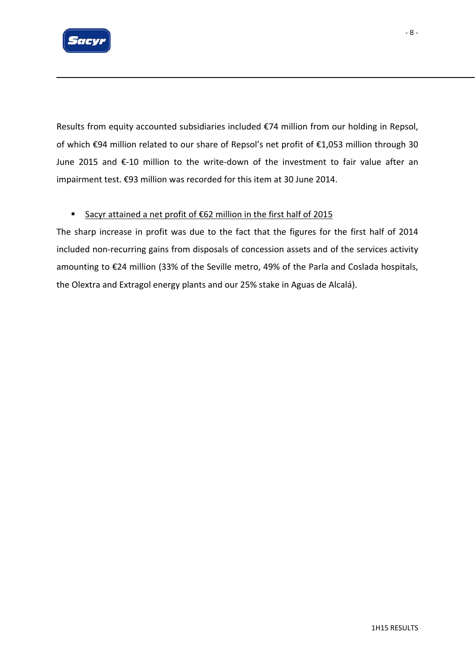

Results from equity accounted subsidiaries included €74 million from our holding in Repsol, of which €94 million related to our share of Repsol's net profit of €1,053 million through 30 June 2015 and €‐10 million to the write‐down of the investment to fair value after an impairment test. €93 million was recorded for this item at 30 June 2014.

#### ■ Sacyr attained a net profit of €62 million in the first half of 2015

The sharp increase in profit was due to the fact that the figures for the first half of 2014 included non‐recurring gains from disposals of concession assets and of the services activity amounting to €24 million (33% of the Seville metro, 49% of the Parla and Coslada hospitals, the Olextra and Extragol energy plants and our 25% stake in Aguas de Alcalá).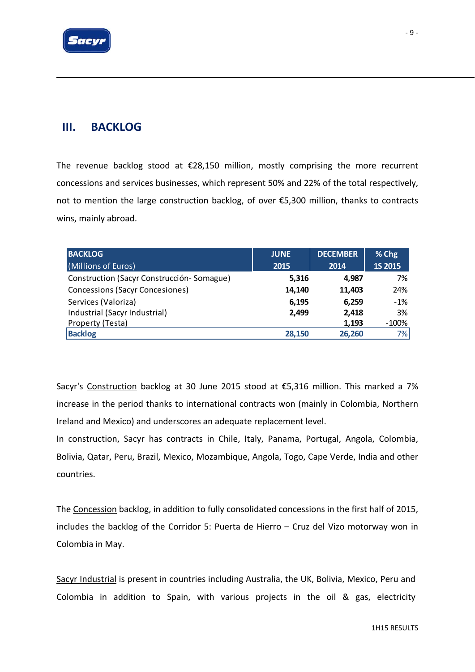

### **III. BACKLOG**

The revenue backlog stood at €28,150 million, mostly comprising the more recurrent concessions and services businesses, which represent 50% and 22% of the total respectively, not to mention the large construction backlog, of over €5,300 million, thanks to contracts wins, mainly abroad.

| <b>BACKLOG</b>                            | <b>JUNE</b> | <b>DECEMBER</b> | $%$ Chg        |
|-------------------------------------------|-------------|-----------------|----------------|
| (Millions of Euros)                       | 2015        | 2014            | <b>1S 2015</b> |
| Construction (Sacyr Construcción-Somague) | 5,316       | 4,987           | 7%             |
| <b>Concessions (Sacyr Concesiones)</b>    | 14,140      | 11,403          | 24%            |
| Services (Valoriza)                       | 6,195       | 6,259           | $-1%$          |
| Industrial (Sacyr Industrial)             | 2,499       | 2,418           | 3%             |
| Property (Testa)                          |             | 1,193           | $-100%$        |
| <b>Backlog</b>                            | 28,150      | 26,260          | 7%             |

Sacyr's Construction backlog at 30 June 2015 stood at €5,316 million. This marked a 7% increase in the period thanks to international contracts won (mainly in Colombia, Northern Ireland and Mexico) and underscores an adequate replacement level.

In construction, Sacyr has contracts in Chile, Italy, Panama, Portugal, Angola, Colombia, Bolivia, Qatar, Peru, Brazil, Mexico, Mozambique, Angola, Togo, Cape Verde, India and other countries.

The Concession backlog, in addition to fully consolidated concessions in the first half of 2015, includes the backlog of the Corridor 5: Puerta de Hierro – Cruz del Vizo motorway won in Colombia in May.

Sacyr Industrial is present in countries including Australia, the UK, Bolivia, Mexico, Peru and Colombia in addition to Spain, with various projects in the oil & gas, electricity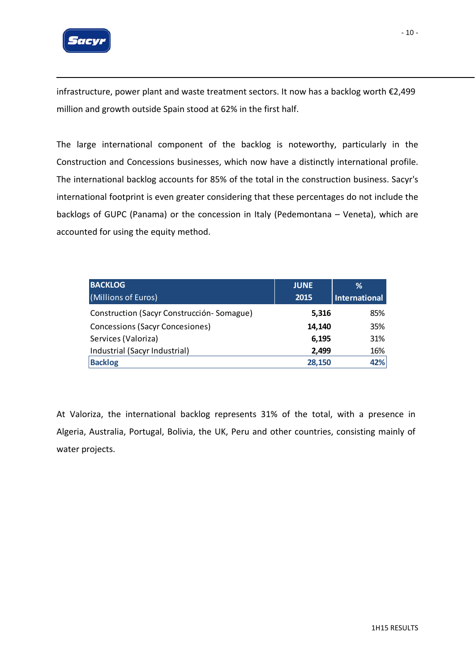

infrastructure, power plant and waste treatment sectors. It now has a backlog worth €2,499 million and growth outside Spain stood at 62% in the first half.

The large international component of the backlog is noteworthy, particularly in the Construction and Concessions businesses, which now have a distinctly international profile. The international backlog accounts for 85% of the total in the construction business. Sacyr's international footprint is even greater considering that these percentages do not include the backlogs of GUPC (Panama) or the concession in Italy (Pedemontana – Veneta), which are accounted for using the equity method.

| <b>BACKLOG</b>                            | <b>JUNE</b> | ℅             |
|-------------------------------------------|-------------|---------------|
| (Millions of Euros)                       | 2015        | International |
| Construction (Sacyr Construcción-Somague) | 5,316       | 85%           |
| <b>Concessions (Sacyr Concesiones)</b>    | 14,140      | 35%           |
| Services (Valoriza)                       | 6,195       | 31%           |
| Industrial (Sacyr Industrial)             | 2,499       | 16%           |
| <b>Backlog</b>                            | 28,150      | 42%           |

At Valoriza, the international backlog represents 31% of the total, with a presence in Algeria, Australia, Portugal, Bolivia, the UK, Peru and other countries, consisting mainly of water projects.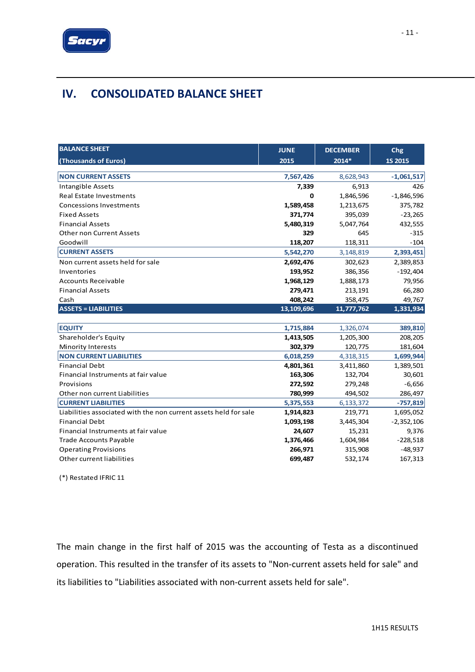

## **IV. CONSOLIDATED BALANCE SHEET**

| <b>BALANCE SHEET</b>                                             | <b>JUNE</b> | <b>DECEMBER</b> | Chg            |
|------------------------------------------------------------------|-------------|-----------------|----------------|
| (Thousands of Euros)                                             | 2015        | 2014*           | <b>1S 2015</b> |
|                                                                  |             |                 |                |
| <b>NON CURRENT ASSETS</b>                                        | 7,567,426   | 8,628,943       | $-1,061,517$   |
| <b>Intangible Assets</b>                                         | 7,339       | 6,913           | 426            |
| <b>Real Estate Investments</b>                                   | 0           | 1,846,596       | $-1,846,596$   |
| <b>Concessions Investments</b>                                   | 1,589,458   | 1,213,675       | 375,782        |
| <b>Fixed Assets</b>                                              | 371,774     | 395,039         | $-23,265$      |
| <b>Financial Assets</b>                                          | 5,480,319   | 5,047,764       | 432,555        |
| <b>Other non Current Assets</b>                                  | 329         | 645             | $-315$         |
| Goodwill                                                         | 118,207     | 118,311         | $-104$         |
| <b>CURRENT ASSETS</b>                                            | 5,542,270   | 3,148,819       | 2,393,451      |
| Non current assets held for sale                                 | 2,692,476   | 302,623         | 2,389,853      |
| Inventories                                                      | 193,952     | 386,356         | $-192,404$     |
| <b>Accounts Receivable</b>                                       | 1,968,129   | 1,888,173       | 79,956         |
| <b>Financial Assets</b>                                          | 279,471     | 213,191         | 66,280         |
| Cash                                                             | 408,242     | 358,475         | 49,767         |
| <b>ASSETS = LIABILITIES</b>                                      | 13,109,696  | 11,777,762      | 1,331,934      |
|                                                                  |             |                 |                |
| <b>EQUITY</b>                                                    | 1,715,884   | 1,326,074       | 389,810        |
| Shareholder's Equity                                             | 1,413,505   | 1,205,300       | 208,205        |
| Minority Interests                                               | 302,379     | 120,775         | 181,604        |
| <b>NON CURRENT LIABILITIES</b>                                   | 6,018,259   | 4,318,315       | 1,699,944      |
| <b>Financial Debt</b>                                            | 4,801,361   | 3,411,860       | 1,389,501      |
| Financial Instruments at fair value                              | 163,306     | 132,704         | 30,601         |
| Provisions                                                       | 272,592     | 279,248         | $-6,656$       |
| Other non current Liabilities                                    | 780,999     | 494,502         | 286,497        |
| <b>CURRENT LIABILITIES</b>                                       | 5,375,553   | 6, 133, 372     | $-757,819$     |
| Liabilities associated with the non current assets held for sale | 1,914,823   | 219,771         | 1,695,052      |
| <b>Financial Debt</b>                                            | 1,093,198   | 3,445,304       | $-2,352,106$   |
| Financial Instruments at fair value                              | 24,607      | 15,231          | 9,376          |
| <b>Trade Accounts Payable</b>                                    | 1,376,466   | 1,604,984       | $-228,518$     |
| <b>Operating Provisions</b>                                      | 266,971     | 315,908         | $-48,937$      |
| Other current liabilities                                        | 699,487     | 532,174         | 167,313        |

(\*) Restated IFRIC 11

The main change in the first half of 2015 was the accounting of Testa as a discontinued operation. This resulted in the transfer of its assets to "Non‐current assets held for sale" and its liabilities to "Liabilities associated with non‐current assets held for sale".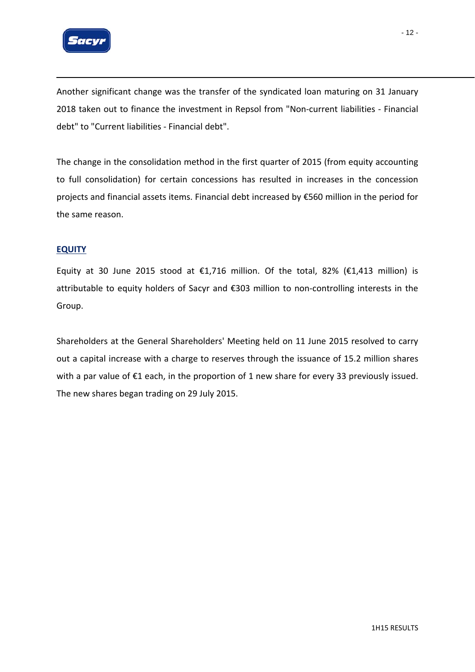

Another significant change was the transfer of the syndicated loan maturing on 31 January 2018 taken out to finance the investment in Repsol from "Non-current liabilities - Financial debt" to "Current liabilities ‐ Financial debt".

The change in the consolidation method in the first quarter of 2015 (from equity accounting to full consolidation) for certain concessions has resulted in increases in the concession projects and financial assets items. Financial debt increased by €560 million in the period for the same reason.

#### **EQUITY**

Equity at 30 June 2015 stood at  $\epsilon$ 1,716 million. Of the total, 82% ( $\epsilon$ 1,413 million) is attributable to equity holders of Sacyr and €303 million to non‐controlling interests in the Group.

Shareholders at the General Shareholders' Meeting held on 11 June 2015 resolved to carry out a capital increase with a charge to reserves through the issuance of 15.2 million shares with a par value of €1 each, in the proportion of 1 new share for every 33 previously issued. The new shares began trading on 29 July 2015.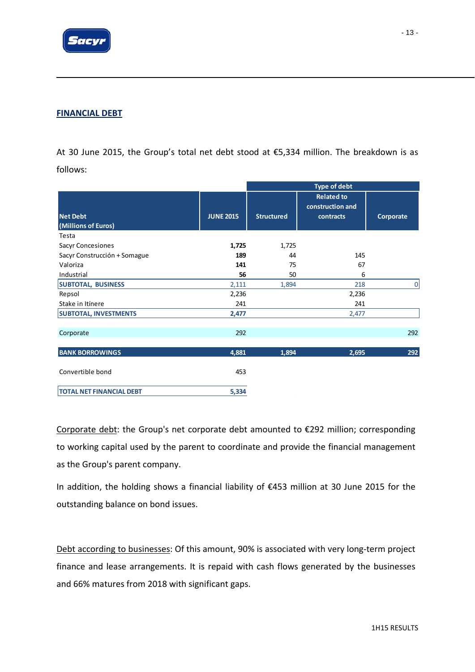

#### **FINANCIAL DEBT**

At 30 June 2015, the Group's total net debt stood at €5,334 million. The breakdown is as follows:

|                                        |                  | Type of debt      |                                                    |           |  |  |
|----------------------------------------|------------------|-------------------|----------------------------------------------------|-----------|--|--|
| <b>Net Debt</b><br>(Millions of Euros) | <b>JUNE 2015</b> | <b>Structured</b> | <b>Related to</b><br>construction and<br>contracts | Corporate |  |  |
| Testa                                  |                  |                   |                                                    |           |  |  |
| Sacyr Concesiones                      | 1,725            | 1,725             |                                                    |           |  |  |
| Sacyr Construcción + Somague           | 189              | 44                | 145                                                |           |  |  |
| Valoriza                               | 141              | 75                | 67                                                 |           |  |  |
| Industrial                             | 56               | 50                | 6                                                  |           |  |  |
| <b>SUBTOTAL, BUSINESS</b>              | 2,111            | 1,894             | 218                                                | 0         |  |  |
| Repsol                                 | 2,236            |                   | 2,236                                              |           |  |  |
| Stake in Itínere                       | 241              |                   | 241                                                |           |  |  |
| <b>SUBTOTAL, INVESTMENTS</b>           | 2,477            |                   | 2,477                                              |           |  |  |
| Corporate                              | 292              |                   |                                                    | 292       |  |  |
| <b>BANK BORROWINGS</b>                 | 4,881            | 1,894             | 2,695                                              | 292       |  |  |
| Convertible bond                       | 453              |                   |                                                    |           |  |  |
| <b>TOTAL NET FINANCIAL DEBT</b>        | 5,334            |                   |                                                    |           |  |  |

Corporate debt: the Group's net corporate debt amounted to €292 million; corresponding to working capital used by the parent to coordinate and provide the financial management as the Group's parent company.

In addition, the holding shows a financial liability of €453 million at 30 June 2015 for the outstanding balance on bond issues.

Debt according to businesses: Of this amount, 90% is associated with very long-term project finance and lease arrangements. It is repaid with cash flows generated by the businesses and 66% matures from 2018 with significant gaps.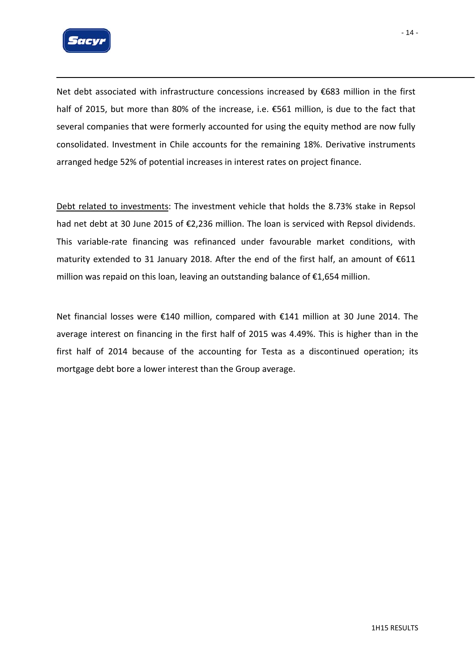

Net debt associated with infrastructure concessions increased by €683 million in the first half of 2015, but more than 80% of the increase, i.e. €561 million, is due to the fact that several companies that were formerly accounted for using the equity method are now fully consolidated. Investment in Chile accounts for the remaining 18%. Derivative instruments arranged hedge 52% of potential increases in interest rates on project finance.

Debt related to investments: The investment vehicle that holds the 8.73% stake in Repsol had net debt at 30 June 2015 of €2,236 million. The loan is serviced with Repsol dividends. This variable‐rate financing was refinanced under favourable market conditions, with maturity extended to 31 January 2018. After the end of the first half, an amount of €611 million was repaid on this loan, leaving an outstanding balance of €1,654 million.

Net financial losses were €140 million, compared with €141 million at 30 June 2014. The average interest on financing in the first half of 2015 was 4.49%. This is higher than in the first half of 2014 because of the accounting for Testa as a discontinued operation; its mortgage debt bore a lower interest than the Group average.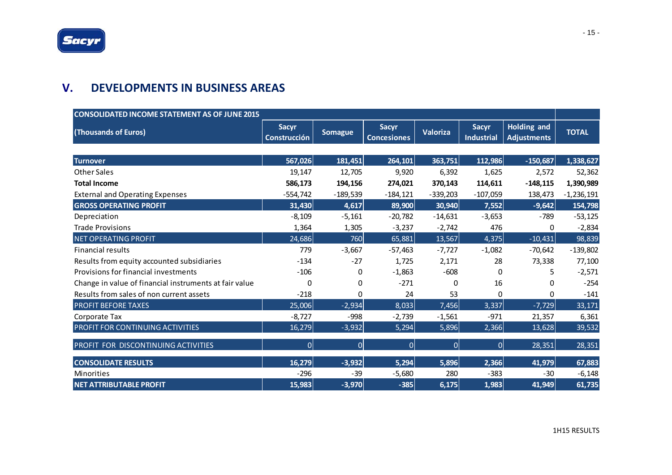### **V. DEVELOPMENTS IN BUSINESS AREAS**

| <b>CONSOLIDATED INCOME STATEMENT AS OF JUNE 2015</b>   |                                     |                |                                    |                 |                                   |                                          |              |  |
|--------------------------------------------------------|-------------------------------------|----------------|------------------------------------|-----------------|-----------------------------------|------------------------------------------|--------------|--|
| (Thousands of Euros)                                   | <b>Sacyr</b><br><b>Construcción</b> | <b>Somague</b> | <b>Sacyr</b><br><b>Concesiones</b> | <b>Valoriza</b> | <b>Sacyr</b><br><b>Industrial</b> | <b>Holding and</b><br><b>Adjustments</b> | <b>TOTAL</b> |  |
|                                                        |                                     |                |                                    |                 |                                   |                                          |              |  |
| <b>Turnover</b>                                        | 567,026                             | 181,451        | 264,101                            | 363,751         | 112,986                           | $-150,687$                               | 1,338,627    |  |
| <b>Other Sales</b>                                     | 19,147                              | 12,705         | 9,920                              | 6,392           | 1,625                             | 2,572                                    | 52,362       |  |
| <b>Total Income</b>                                    | 586,173                             | 194,156        | 274,021                            | 370,143         | 114,611                           | $-148,115$                               | 1,390,989    |  |
| <b>External and Operating Expenses</b>                 | $-554,742$                          | $-189,539$     | $-184,121$                         | $-339,203$      | $-107,059$                        | 138,473                                  | $-1,236,191$ |  |
| <b>GROSS OPERATING PROFIT</b>                          | 31,430                              | 4,617          | 89,900                             | 30,940          | 7,552                             | $-9,642$                                 | 154,798      |  |
| Depreciation                                           | $-8,109$                            | $-5,161$       | $-20,782$                          | $-14,631$       | $-3,653$                          | $-789$                                   | $-53,125$    |  |
| <b>Trade Provisions</b>                                | 1,364                               | 1,305          | $-3,237$                           | $-2,742$        | 476                               | 0                                        | $-2,834$     |  |
| <b>NET OPERATING PROFIT</b>                            | 24,686                              | 760            | 65,881                             | 13,567          | 4,375                             | $-10,431$                                | 98,839       |  |
| <b>Financial results</b>                               | 779                                 | $-3,667$       | $-57,463$                          | $-7,727$        | $-1,082$                          | $-70,642$                                | $-139,802$   |  |
| Results from equity accounted subsidiaries             | $-134$                              | $-27$          | 1,725                              | 2,171           | 28                                | 73,338                                   | 77,100       |  |
| Provisions for financial investments                   | $-106$                              | 0              | $-1,863$                           | $-608$          | 0                                 | 5.                                       | $-2,571$     |  |
| Change in value of financial instruments at fair value | 0                                   | 0              | $-271$                             | 0               | 16                                | 0                                        | $-254$       |  |
| Results from sales of non current assets               | $-218$                              | 0              | 24                                 | 53              | 0                                 | 0                                        | $-141$       |  |
| <b>PROFIT BEFORE TAXES</b>                             | 25,006                              | $-2,934$       | 8,033                              | 7,456           | 3,337                             | $-7,729$                                 | 33,171       |  |
| Corporate Tax                                          | $-8,727$                            | $-998$         | $-2,739$                           | $-1,561$        | $-971$                            | 21,357                                   | 6,361        |  |
| PROFIT FOR CONTINUING ACTIVITIES                       | 16,279                              | $-3,932$       | 5,294                              | 5,896           | 2,366                             | 13,628                                   | 39,532       |  |
| PROFIT FOR DISCONTINUING ACTIVITIES                    | $\overline{0}$                      | $\Omega$       | 0                                  | 0               | $\overline{0}$                    | 28,351                                   | 28,351       |  |
| <b>CONSOLIDATE RESULTS</b>                             | 16,279                              | $-3,932$       | 5,294                              | 5,896           | 2,366                             | 41,979                                   | 67,883       |  |
| Minorities                                             | $-296$                              | $-39$          | $-5,680$                           | 280             | $-383$                            | $-30$                                    | $-6,148$     |  |
| <b>NET ATTRIBUTABLE PROFIT</b>                         | 15,983                              | $-3,970$       | $-385$                             | 6,175           | 1,983                             | 41,949                                   | 61,735       |  |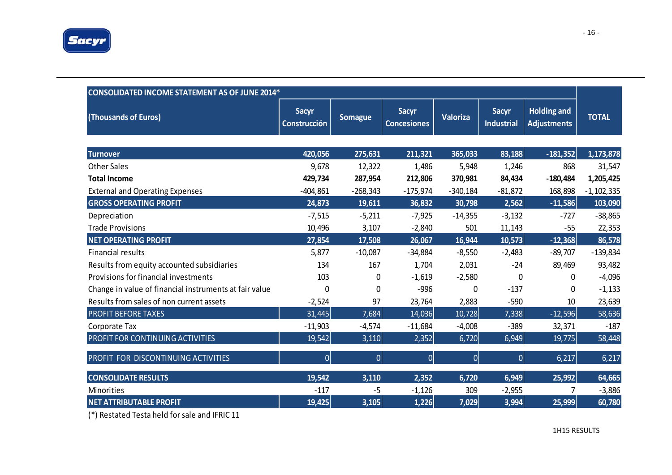| <b>CONSOLIDATED INCOME STATEMENT AS OF JUNE 2014*</b>  |                              |                |                                    |                 |                                   |                                          |              |
|--------------------------------------------------------|------------------------------|----------------|------------------------------------|-----------------|-----------------------------------|------------------------------------------|--------------|
| (Thousands of Euros)                                   | <b>Sacyr</b><br>Construcción | <b>Somague</b> | <b>Sacyr</b><br><b>Concesiones</b> | <b>Valoriza</b> | <b>Sacyr</b><br><b>Industrial</b> | <b>Holding and</b><br><b>Adjustments</b> | <b>TOTAL</b> |
| <b>Turnover</b>                                        | 420,056                      | 275,631        | 211,321                            | 365,033         | 83,188                            | $-181,352$                               | 1,173,878    |
| <b>Other Sales</b>                                     | 9,678                        | 12,322         | 1,486                              | 5,948           | 1,246                             | 868                                      | 31,547       |
| <b>Total Income</b>                                    | 429,734                      | 287,954        | 212,806                            | 370,981         | 84,434                            | $-180,484$                               | 1,205,425    |
| <b>External and Operating Expenses</b>                 | $-404,861$                   | $-268,343$     | $-175,974$                         | $-340,184$      | $-81,872$                         | 168,898                                  | $-1,102,335$ |
| <b>GROSS OPERATING PROFIT</b>                          | 24,873                       | 19,611         | 36,832                             | 30,798          | 2,562                             | $-11,586$                                | 103,090      |
| Depreciation                                           | $-7,515$                     | $-5,211$       | $-7,925$                           | $-14,355$       | $-3,132$                          | $-727$                                   | $-38,865$    |
| <b>Trade Provisions</b>                                | 10,496                       | 3,107          | $-2,840$                           | 501             | 11,143                            | $-55$                                    | 22,353       |
| <b>NET OPERATING PROFIT</b>                            | 27,854                       | 17,508         | 26,067                             | 16,944          | 10,573                            | $-12,368$                                | 86,578       |
| <b>Financial results</b>                               | 5,877                        | $-10,087$      | $-34,884$                          | $-8,550$        | $-2,483$                          | $-89,707$                                | $-139,834$   |
| Results from equity accounted subsidiaries             | 134                          | 167            | 1,704                              | 2,031           | $-24$                             | 89,469                                   | 93,482       |
| Provisions for financial investments                   | 103                          | 0              | $-1,619$                           | $-2,580$        | $\mathbf 0$                       | 0                                        | $-4,096$     |
| Change in value of financial instruments at fair value | 0                            | 0              | $-996$                             | 0               | $-137$                            | 0                                        | $-1,133$     |
| Results from sales of non current assets               | $-2,524$                     | 97             | 23,764                             | 2,883           | $-590$                            | 10                                       | 23,639       |
| <b>PROFIT BEFORE TAXES</b>                             | 31,445                       | 7,684          | 14,036                             | 10,728          | 7,338                             | $-12,596$                                | 58,636       |
| Corporate Tax                                          | $-11,903$                    | $-4,574$       | $-11,684$                          | $-4,008$        | $-389$                            | 32,371                                   | $-187$       |
| PROFIT FOR CONTINUING ACTIVITIES                       | 19,542                       | 3,110          | 2,352                              | 6,720           | 6,949                             | 19,775                                   | 58,448       |
| PROFIT FOR DISCONTINUING ACTIVITIES                    | $\overline{0}$               | $\overline{0}$ | $\overline{0}$                     | $\overline{0}$  | $\overline{0}$                    | 6,217                                    | 6,217        |
| <b>CONSOLIDATE RESULTS</b>                             | 19,542                       | 3,110          | 2,352                              | 6,720           | 6,949                             | 25,992                                   | 64,665       |
| <b>Minorities</b>                                      | $-117$                       | $-5$           | $-1,126$                           | 309             | $-2,955$                          | 7                                        | $-3,886$     |
| <b>NET ATTRIBUTABLE PROFIT</b>                         | 19,425                       | 3,105          | 1,226                              | 7,029           | 3,994                             | 25,999                                   | 60,780       |

(\*) Restated Testa held forsale and IFRIC 11

1H15 RESULTS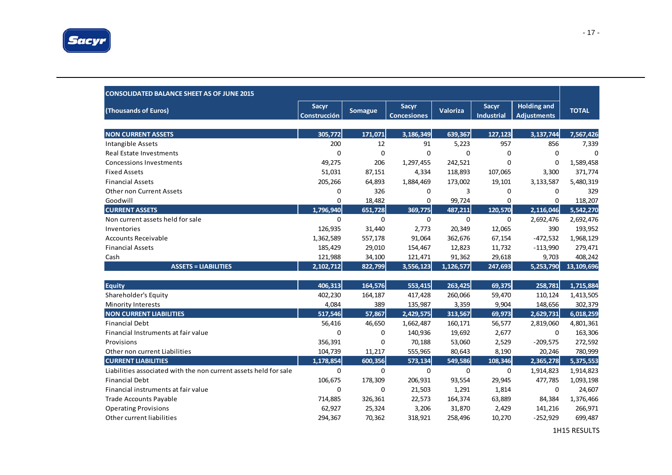

| <b>CONSOLIDATED BALANCE SHEET AS OF JUNE 2015</b>                |                       |                |                             |             |                            |                                          |              |
|------------------------------------------------------------------|-----------------------|----------------|-----------------------------|-------------|----------------------------|------------------------------------------|--------------|
| (Thousands of Euros)                                             | Sacyr<br>Construcción | <b>Somague</b> | Sacyr<br><b>Concesiones</b> | Valoriza    | Sacyr<br><b>Industrial</b> | <b>Holding and</b><br><b>Adjustments</b> | <b>TOTAL</b> |
| <b>NON CURRENT ASSETS</b>                                        | 305,772               | 171.071        | 3,186,349                   | 639,367     | 127,123                    | 3.137.744                                | 7,567,426    |
| Intangible Assets                                                | 200                   | 12             | 91                          | 5,223       | 957                        | 856                                      | 7,339        |
| <b>Real Estate Investments</b>                                   | $\Omega$              | $\Omega$       | $\mathbf 0$                 | $\Omega$    | $\Omega$                   | $\Omega$                                 | $\Omega$     |
| <b>Concessions Investments</b>                                   | 49,275                | 206            | 1,297,455                   | 242,521     | $\mathbf 0$                | 0                                        | 1,589,458    |
| <b>Fixed Assets</b>                                              | 51,031                | 87,151         | 4,334                       | 118,893     | 107,065                    | 3,300                                    | 371,774      |
| <b>Financial Assets</b>                                          | 205,266               | 64,893         | 1,884,469                   | 173,002     | 19,101                     | 3,133,587                                | 5,480,319    |
| <b>Other non Current Assets</b>                                  | 0                     | 326            | 0                           | 3           | 0                          | $\mathbf 0$                              | 329          |
| Goodwill                                                         | $\mathbf 0$           | 18,482         | $\mathbf 0$                 | 99,724      | $\mathbf 0$                | 0                                        | 118,207      |
| <b>CURRENT ASSETS</b>                                            | 1,796,940             | 651,728        | 369,775                     | 487,211     | 120,570                    | 2,116,046                                | 5,542,270    |
| Non current assets held for sale                                 | $\mathbf 0$           | $\mathbf 0$    | $\mathbf 0$                 | $\mathbf 0$ | $\mathbf 0$                | 2,692,476                                | 2,692,476    |
| Inventories                                                      | 126,935               | 31,440         | 2,773                       | 20,349      | 12,065                     | 390                                      | 193,952      |
| <b>Accounts Receivable</b>                                       | 1,362,589             | 557,178        | 91,064                      | 362,676     | 67,154                     | $-472,532$                               | 1,968,129    |
| <b>Financial Assets</b>                                          | 185,429               | 29,010         | 154,467                     | 12,823      | 11,732                     | $-113,990$                               | 279,471      |
| Cash                                                             | 121,988               | 34,100         | 121,471                     | 91,362      | 29,618                     | 9,703                                    | 408,242      |
| <b>ASSETS = LIABILITIES</b>                                      | 2,102,712             | 822,799        | 3,556,123                   | 1,126,577   | 247,693                    | 5,253,790                                | 13,109,696   |
|                                                                  |                       |                |                             |             |                            |                                          |              |
| <b>Equity</b>                                                    | 406,313               | 164,576        | 553,415                     | 263,425     | 69,375                     | 258,781                                  | 1,715,884    |
| Shareholder's Equity                                             | 402,230               | 164,187        | 417,428                     | 260,066     | 59,470                     | 110,124                                  | 1,413,505    |
| <b>Minority Interests</b>                                        | 4,084                 | 389            | 135,987                     | 3,359       | 9,904                      | 148,656                                  | 302,379      |
| <b>NON CURRENT LIABILITIES</b>                                   | 517,546               | 57,867         | 2,429,575                   | 313,567     | 69,973                     | 2,629,731                                | 6,018,259    |
| <b>Financial Debt</b>                                            | 56,416                | 46,650         | 1,662,487                   | 160,171     | 56,577                     | 2,819,060                                | 4,801,361    |
| Financial Instruments at fair value                              | $\mathbf 0$           | $\mathbf 0$    | 140,936                     | 19,692      | 2,677                      | $\Omega$                                 | 163,306      |
| Provisions                                                       | 356,391               | $\mathbf 0$    | 70,188                      | 53,060      | 2,529                      | $-209,575$                               | 272,592      |
| Other non current Liabilities                                    | 104,739               | 11,217         | 555,965                     | 80,643      | 8,190                      | 20,246                                   | 780,999      |
| <b>CURRENT LIABILITIES</b>                                       | 1,178,854             | 600,356        | 573,134                     | 549,586     | 108,346                    | 2,365,278                                | 5,375,553    |
| Liabilities associated with the non current assets held for sale | $\mathbf 0$           | $\mathbf 0$    | $\mathbf 0$                 | $\mathbf 0$ | $\mathbf 0$                | 1,914,823                                | 1,914,823    |
| <b>Financial Debt</b>                                            | 106,675               | 178,309        | 206,931                     | 93,554      | 29,945                     | 477,785                                  | 1,093,198    |
| Financial instruments at fair value                              | 0                     | $\Omega$       | 21,503                      | 1,291       | 1,814                      | $\Omega$                                 | 24,607       |
| <b>Trade Accounts Payable</b>                                    | 714,885               | 326,361        | 22,573                      | 164,374     | 63,889                     | 84,384                                   | 1,376,466    |
| <b>Operating Provisions</b>                                      | 62,927                | 25,324         | 3,206                       | 31,870      | 2,429                      | 141,216                                  | 266,971      |
| Other current liabilities                                        | 294,367               | 70,362         | 318,921                     | 258,496     | 10,270                     | $-252,929$                               | 699,487      |

1H15 RESULTS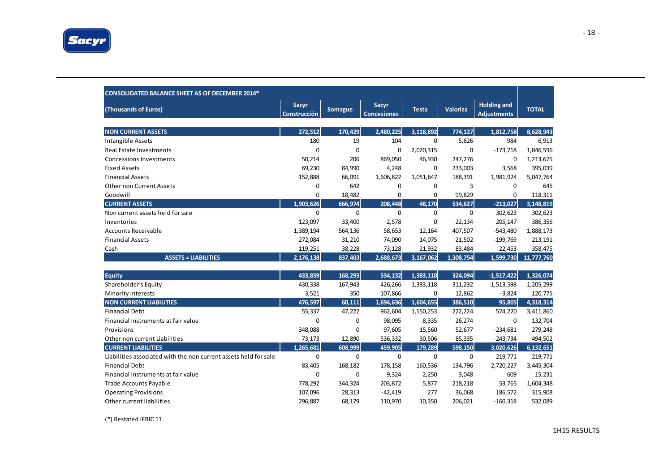

| <b>CONSOLIDATED BALANCE SHEET AS OF DECEMBER 2014*</b>           |                                     |             |                             |              |              |                                          |              |
|------------------------------------------------------------------|-------------------------------------|-------------|-----------------------------|--------------|--------------|------------------------------------------|--------------|
| (Thousands of Euros)                                             | <b>Sacyr</b><br><b>Construcción</b> | Somague     | Sacyr<br><b>Concesiones</b> | Testa        | Valoriza     | <b>Holding and</b><br><b>Adjustments</b> | <b>TOTAL</b> |
| <b>NON CURRENT ASSETS</b>                                        | 272,512                             | 170,429     | 2.480.225                   | 3,118,892    | 774,127      | 1,812,758                                | 8,628,943    |
| Intangible Assets                                                | 180                                 | 19          | 104                         | $\mathbf{0}$ | 5,626        | 984                                      | 6,913        |
| Real Estate Investments                                          | $\Omega$                            | $\mathbf 0$ | 0                           | 2,020,315    | $\Omega$     | $-173,718$                               | 1,846,596    |
| <b>Concessions Investments</b>                                   | 50,214                              | 206         | 869,050                     | 46,930       | 247,276      | $\mathbf 0$                              | 1,213,675    |
| <b>Fixed Assets</b>                                              | 69,230                              | 84,990      | 4,248                       | 0            | 233,003      | 3,568                                    | 395,039      |
| <b>Financial Assets</b>                                          | 152,888                             | 66,091      | 1,606,822                   | 1,051,647    | 188,391      | 1,981,924                                | 5,047,764    |
| <b>Other non Current Assets</b>                                  | $\mathbf 0$                         | 642         | $\mathbf 0$                 | $\mathbf 0$  | 3            | $\mathbf 0$                              | 645          |
| Goodwill                                                         | $\mathbf 0$                         | 18,482      | 0                           | $\mathbf 0$  | 99,829       | 0                                        | 118,311      |
| <b>CURRENT ASSETS</b>                                            | 1,903,626                           | 666,974     | 208,448                     | 48,170       | 534,627      | $-213,027$                               | 3,148,819    |
| Non current assets held for sale                                 | $\mathbf 0$                         | 0           | 0                           | $\mathbf{0}$ | $\mathbf{0}$ | 302,623                                  | 302,623      |
| Inventories                                                      | 123,097                             | 33,400      | 2,578                       | 0            | 22,134       | 205,147                                  | 386,356      |
| <b>Accounts Receivable</b>                                       | 1,389,194                           | 564,136     | 58,653                      | 12,164       | 407,507      | $-543,480$                               | 1,888,173    |
| <b>Financial Assets</b>                                          | 272,084                             | 31,210      | 74,090                      | 14,075       | 21,502       | $-199,769$                               | 213,191      |
| Cash                                                             | 119,251                             | 38,228      | 73,128                      | 21,932       | 83,484       | 22,453                                   | 358,475      |
| <b>ASSETS = LIABILITIES</b>                                      | 2,176,138                           | 837,403     | 2,688,673                   | 3,167,062    | 1,308,754    | 1,599,730                                | 11,777,760   |
|                                                                  |                                     |             |                             |              |              |                                          |              |
| <b>Equity</b>                                                    | 433,859                             | 168,293     | 534,132                     | 1,383,118    | 324,094      | $-1,517,422$                             | 1,326,074    |
| Shareholder's Equity                                             | 430,338                             | 167,943     | 426,266                     | 1,383,118    | 311,232      | $-1,513,598$                             | 1,205,299    |
| Minority Interests                                               | 3,521                               | 350         | 107,866                     | 0            | 12,862       | $-3,824$                                 | 120,775      |
| <b>NON CURRENT LIABILITIES</b>                                   | 476,597                             | 60,111      | 1,694,636                   | 1,604,655    | 386,510      | 95,805                                   | 4,318,314    |
| <b>Financial Debt</b>                                            | 55,337                              | 47,222      | 962,604                     | 1,550,253    | 222,224      | 574,220                                  | 3,411,860    |
| Financial Instruments at fair value                              | $\Omega$                            | 0           | 98,095                      | 8,335        | 26,274       | $\Omega$                                 | 132,704      |
| Provisions                                                       | 348,088                             | 0           | 97,605                      | 15,560       | 52,677       | $-234,681$                               | 279,248      |
| Other non current Liabilities                                    | 73,173                              | 12,890      | 536,332                     | 30,506       | 85,335       | $-243,734$                               | 494,502      |
| <b>CURRENT LIABILITIES</b>                                       | 1,265,681                           | 608,999     | 459,905                     | 179,289      | 598,150      | 3,020,626                                | 6,132,651    |
| Liabilities associated with the non current assets held for sale | $\mathbf 0$                         | $\mathbf 0$ | 0                           | $\mathbf 0$  | $\mathbf 0$  | 219,771                                  | 219,771      |
| <b>Financial Debt</b>                                            | 83,405                              | 168,182     | 178,158                     | 160,536      | 134,796      | 2,720,227                                | 3,445,304    |
| Financial instruments at fair value                              | $\mathbf 0$                         | $\mathbf 0$ | 9,324                       | 2,250        | 3,048        | 609                                      | 15,231       |
| Trade Accounts Payable                                           | 778,292                             | 344,324     | 203,872                     | 5,877        | 218,218      | 53,765                                   | 1,604,348    |
| <b>Operating Provisions</b>                                      | 107,096                             | 28,313      | $-42,419$                   | 277          | 36,068       | 186,572                                  | 315,908      |
| Other current liabilities                                        | 296,887                             | 68,179      | 110,970                     | 10,350       | 206,021      | $-160,318$                               | 532,089      |

(\*) Restated IFRIC 11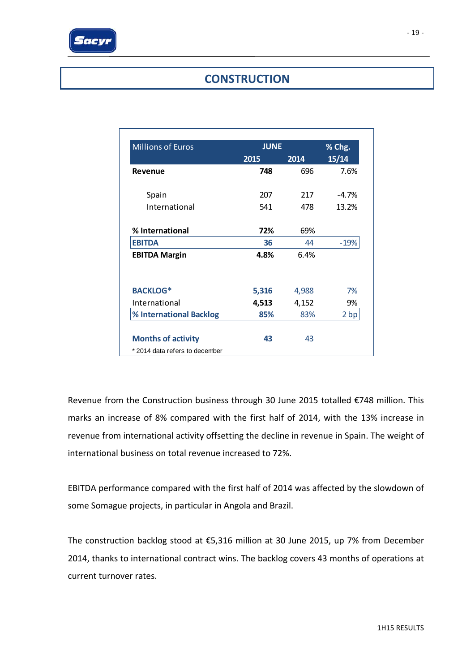

## **CONSTRUCTION**

| <b>Millions of Euros</b>      | <b>JUNE</b> |       | % Chg.  |  |
|-------------------------------|-------------|-------|---------|--|
|                               | 2015        | 2014  | 15/14   |  |
| <b>Revenue</b>                | 748         | 696   | 7.6%    |  |
| Spain                         | 207         | 217   | $-4.7%$ |  |
| International                 | 541         | 478   | 13.2%   |  |
| % International               | 72%         | 69%   |         |  |
| <b>EBITDA</b>                 | 36          | 44    | $-19%$  |  |
| <b>EBITDA Margin</b>          | 4.8%        | 6.4%  |         |  |
| <b>BACKLOG*</b>               | 5,316       | 4,988 | 7%      |  |
| International                 | 4,513       | 4,152 | 9%      |  |
| % International Backlog       | 85%         | 83%   | 2 bp    |  |
| <b>Months of activity</b>     | 43          | 43    |         |  |
| *2014 data refers to december |             |       |         |  |

Revenue from the Construction business through 30 June 2015 totalled €748 million. This marks an increase of 8% compared with the first half of 2014, with the 13% increase in revenue from international activity offsetting the decline in revenue in Spain. The weight of international business on total revenue increased to 72%.

EBITDA performance compared with the first half of 2014 was affected by the slowdown of some Somague projects, in particular in Angola and Brazil.

The construction backlog stood at €5,316 million at 30 June 2015, up 7% from December 2014, thanks to international contract wins. The backlog covers 43 months of operations at current turnover rates.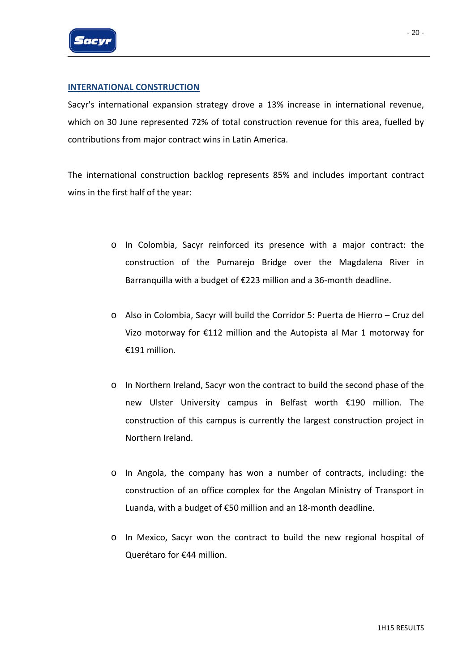

#### **INTERNATIONAL CONSTRUCTION**

Sacyr's international expansion strategy drove a 13% increase in international revenue, which on 30 June represented 72% of total construction revenue for this area, fuelled by contributions from major contract wins in Latin America.

The international construction backlog represents 85% and includes important contract wins in the first half of the year:

- o In Colombia, Sacyr reinforced its presence with a major contract: the construction of the Pumarejo Bridge over the Magdalena River in Barranquilla with a budget of €223 million and a 36‐month deadline.
- o Also in Colombia, Sacyr will build the Corridor 5: Puerta de Hierro Cruz del Vizo motorway for €112 million and the Autopista al Mar 1 motorway for €191 million.
- o In Northern Ireland, Sacyr won the contract to build the second phase of the new Ulster University campus in Belfast worth €190 million. The construction of this campus is currently the largest construction project in Northern Ireland.
- o In Angola, the company has won a number of contracts, including: the construction of an office complex for the Angolan Ministry of Transport in Luanda, with a budget of €50 million and an 18‐month deadline.
- o In Mexico, Sacyr won the contract to build the new regional hospital of Querétaro for €44 million.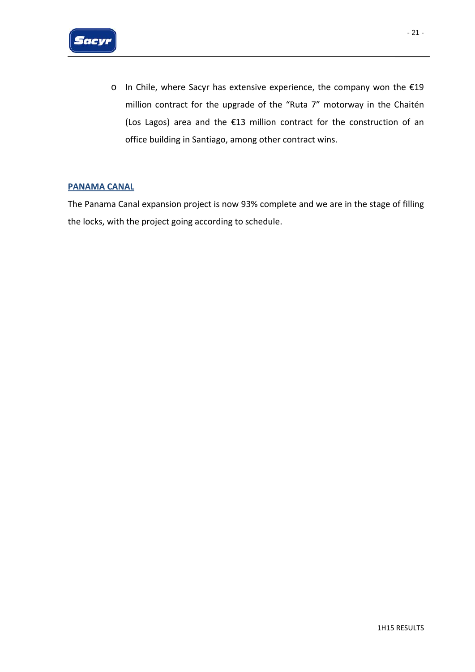

o In Chile, where Sacyr has extensive experience, the company won the €19 million contract for the upgrade of the "Ruta 7" motorway in the Chaitén (Los Lagos) area and the €13 million contract for the construction of an office building in Santiago, among other contract wins.

#### **PANAMA CANAL**

The Panama Canal expansion project is now 93% complete and we are in the stage of filling the locks, with the project going according to schedule.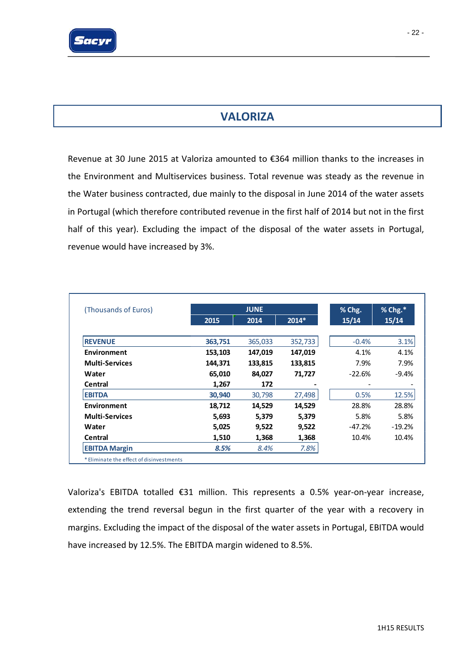

Revenue at 30 June 2015 at Valoriza amounted to €364 million thanks to the increases in the Environment and Multiservices business. Total revenue was steady as the revenue in the Water business contracted, due mainly to the disposal in June 2014 of the water assets in Portugal (which therefore contributed revenue in the first half of 2014 but not in the first half of this year). Excluding the impact of the disposal of the water assets in Portugal, revenue would have increased by 3%.

| (Thousands of Euros)  |         | <b>JUNE</b> | % Chg.  | % Chg.*  |          |
|-----------------------|---------|-------------|---------|----------|----------|
|                       | 2015    | 2014        | 2014*   | 15/14    | 15/14    |
| <b>REVENUE</b>        | 363,751 | 365,033     | 352,733 | $-0.4%$  | 3.1%     |
| Environment           | 153,103 | 147,019     | 147,019 | 4.1%     | 4.1%     |
| <b>Multi-Services</b> | 144,371 | 133,815     | 133,815 | 7.9%     | 7.9%     |
| Water                 | 65,010  | 84,027      | 71,727  | $-22.6%$ | $-9.4%$  |
| Central               | 1,267   | 172         |         |          |          |
| <b>EBITDA</b>         | 30,940  | 30,798      | 27,498  | 0.5%     | 12.5%    |
| Environment           | 18,712  | 14,529      | 14,529  | 28.8%    | 28.8%    |
| <b>Multi-Services</b> | 5,693   | 5,379       | 5,379   | 5.8%     | 5.8%     |
| Water                 | 5,025   | 9,522       | 9,522   | $-47.2%$ | $-19.2%$ |
| Central               | 1,510   | 1,368       | 1,368   | 10.4%    | 10.4%    |
| <b>EBITDA Margin</b>  | 8.5%    | 8.4%        | 7.8%    |          |          |

Valoriza's EBITDA totalled €31 million. This represents a 0.5% year‐on‐year increase, extending the trend reversal begun in the first quarter of the year with a recovery in margins. Excluding the impact of the disposal of the water assets in Portugal, EBITDA would have increased by 12.5%. The EBITDA margin widened to 8.5%.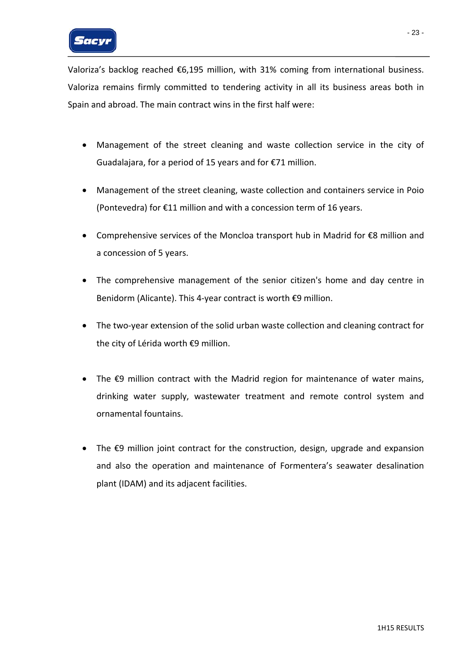Valoriza's backlog reached €6,195 million, with 31% coming from international business. Valoriza remains firmly committed to tendering activity in all its business areas both in Spain and abroad. The main contract wins in the first half were:

- Management of the street cleaning and waste collection service in the city of Guadalajara, for a period of 15 years and for €71 million.
- Management of the street cleaning, waste collection and containers service in Poio (Pontevedra) for €11 million and with a concession term of 16 years.
- Comprehensive services of the Moncloa transport hub in Madrid for €8 million and a concession of 5 years.
- The comprehensive management of the senior citizen's home and day centre in Benidorm (Alicante). This 4‐year contract is worth €9 million.
- The two‐year extension of the solid urban waste collection and cleaning contract for the city of Lérida worth €9 million.
- The €9 million contract with the Madrid region for maintenance of water mains, drinking water supply, wastewater treatment and remote control system and ornamental fountains.
- The €9 million joint contract for the construction, design, upgrade and expansion and also the operation and maintenance of Formentera's seawater desalination plant (IDAM) and its adjacent facilities.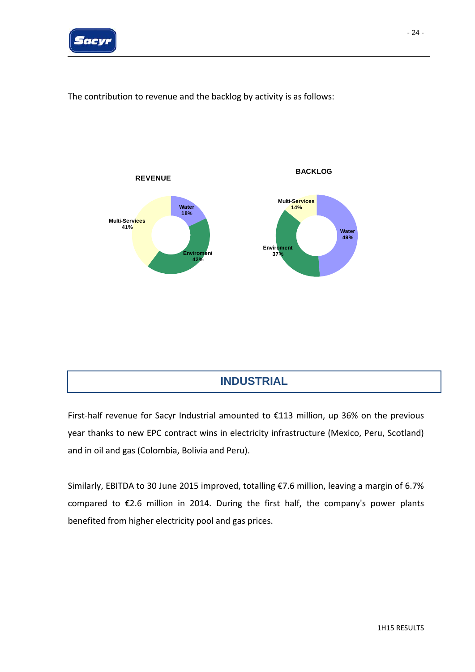

 $\overline{a}$ 

The contribution to revenue and the backlog by activity is as follows:



# **INDUSTRIAL**

First-half revenue for Sacyr Industrial amounted to €113 million, up 36% on the previous year thanks to new EPC contract wins in electricity infrastructure (Mexico, Peru, Scotland) and in oil and gas (Colombia, Bolivia and Peru).

Similarly, EBITDA to 30 June 2015 improved, totalling €7.6 million, leaving a margin of 6.7% compared to €2.6 million in 2014. During the first half, the company's power plants benefited from higher electricity pool and gas prices.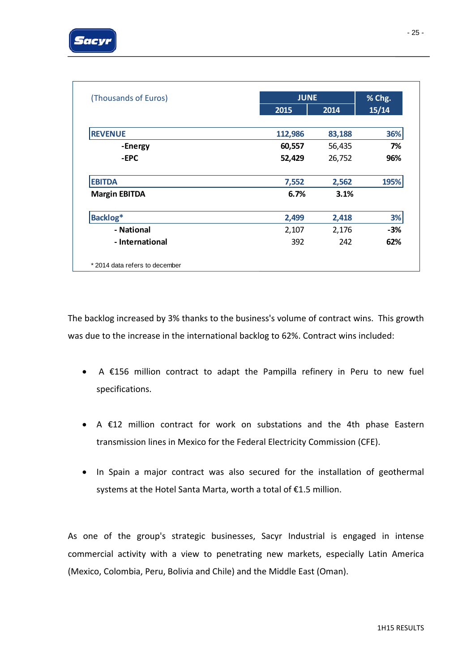

| (Thousands of Euros)          |         | <b>JUNE</b> |       |  |  |
|-------------------------------|---------|-------------|-------|--|--|
|                               | 2015    | 2014        | 15/14 |  |  |
|                               |         |             |       |  |  |
| <b>REVENUE</b>                | 112,986 | 83,188      | 36%   |  |  |
| -Energy                       | 60,557  | 56,435      | 7%    |  |  |
| -EPC                          | 52,429  | 26,752      |       |  |  |
| <b>EBITDA</b>                 | 7,552   | 2,562       | 195%  |  |  |
| <b>Margin EBITDA</b>          | 6.7%    | 3.1%        |       |  |  |
| Backlog*                      | 2,499   | 2,418       | 3%    |  |  |
| - National                    | 2,107   | 2,176       | -3%   |  |  |
| - International               | 392     | 242         | 62%   |  |  |
| *2014 data refers to december |         |             |       |  |  |

The backlog increased by 3% thanks to the business's volume of contract wins. This growth was due to the increase in the international backlog to 62%. Contract wins included:

- A €156 million contract to adapt the Pampilla refinery in Peru to new fuel specifications.
- A €12 million contract for work on substations and the 4th phase Eastern transmission lines in Mexico for the Federal Electricity Commission (CFE).
- In Spain a major contract was also secured for the installation of geothermal systems at the Hotel Santa Marta, worth a total of €1.5 million.

As one of the group's strategic businesses, Sacyr Industrial is engaged in intense commercial activity with a view to penetrating new markets, especially Latin America (Mexico, Colombia, Peru, Bolivia and Chile) and the Middle East (Oman).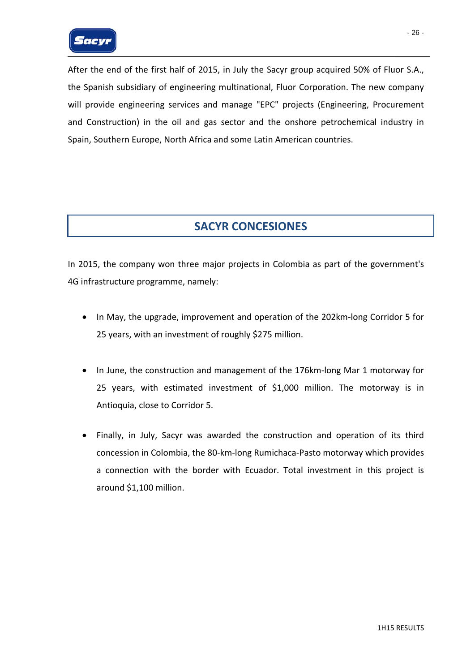After the end of the first half of 2015, in July the Sacyr group acquired 50% of Fluor S.A., the Spanish subsidiary of engineering multinational, Fluor Corporation. The new company will provide engineering services and manage "EPC" projects (Engineering, Procurement and Construction) in the oil and gas sector and the onshore petrochemical industry in Spain, Southern Europe, North Africa and some Latin American countries.

# **SACYR CONCESIONES**

In 2015, the company won three major projects in Colombia as part of the government's 4G infrastructure programme, namely:

- In May, the upgrade, improvement and operation of the 202km-long Corridor 5 for 25 years, with an investment of roughly \$275 million.
- In June, the construction and management of the 176km‐long Mar 1 motorway for 25 years, with estimated investment of \$1,000 million. The motorway is in Antioquia, close to Corridor 5.
- Finally, in July, Sacyr was awarded the construction and operation of its third concession in Colombia, the 80‐km‐long Rumichaca‐Pasto motorway which provides a connection with the border with Ecuador. Total investment in this project is around \$1,100 million.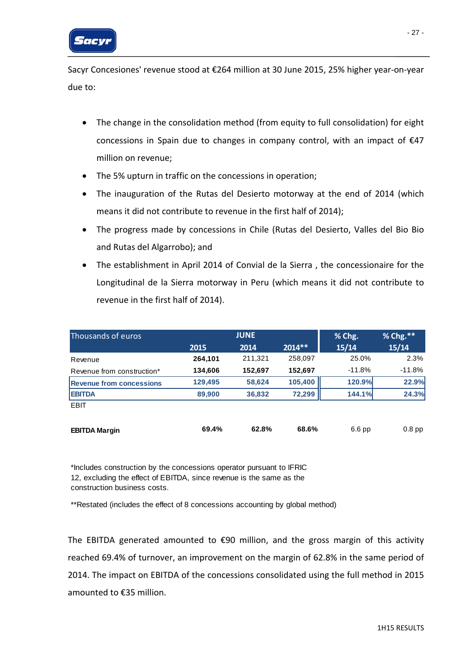

Sacyr Concesiones' revenue stood at €264 million at 30 June 2015, 25% higher year‐on‐year due to:

- The change in the consolidation method (from equity to full consolidation) for eight concessions in Spain due to changes in company control, with an impact of €47 million on revenue;
- The 5% upturn in traffic on the concessions in operation;
- The inauguration of the Rutas del Desierto motorway at the end of 2014 (which means it did not contribute to revenue in the first half of 2014);
- The progress made by concessions in Chile (Rutas del Desierto, Valles del Bio Bio and Rutas del Algarrobo); and
- The establishment in April 2014 of Convial de la Sierra , the concessionaire for the Longitudinal de la Sierra motorway in Peru (which means it did not contribute to revenue in the first half of 2014).

| Thousands of euros         |         | <b>JUNE</b> |          | % Chg.   | % Chg.** |
|----------------------------|---------|-------------|----------|----------|----------|
|                            | 2015    | 2014        | $2014**$ | 15/14    | 15/14    |
| Revenue                    | 264,101 | 211,321     | 258,097  | 25.0%    | 2.3%     |
| Revenue from construction* | 134,606 | 152,697     | 152,697  | $-11.8%$ | $-11.8%$ |
| Revenue from concessions   | 129,495 | 58,624      | 105,400  | 120.9%   | 22.9%    |
| <b>EBITDA</b>              | 89,900  | 36,832      | 72,299   | 144.1%   | 24.3%    |
| <b>EBIT</b>                |         |             |          |          |          |
|                            |         |             |          |          |          |
| <b>EBITDA Margin</b>       | 69.4%   | 62.8%       | 68.6%    | 6.6 pp   | $0.8$ pp |

\*Includes construction by the concessions operator pursuant to IFRIC 12, excluding the effect of EBITDA, since revenue is the same as the construction business costs.

\*\*Restated (includes the effect of 8 concessions accounting by global method)

The EBITDA generated amounted to  $\epsilon$ 90 million, and the gross margin of this activity reached 69.4% of turnover, an improvement on the margin of 62.8% in the same period of 2014. The impact on EBITDA of the concessions consolidated using the full method in 2015 amounted to €35 million.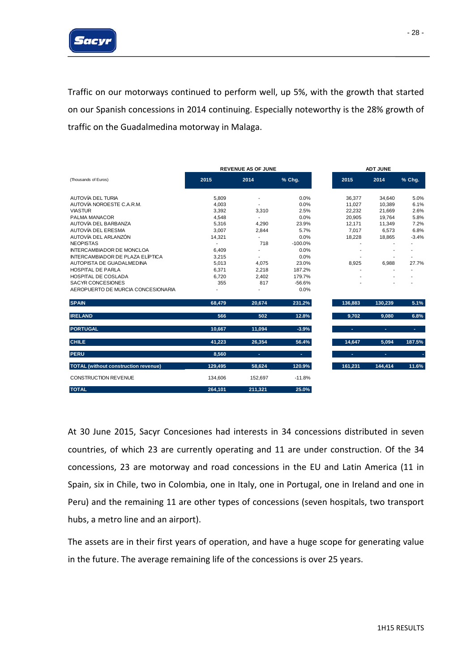

Traffic on our motorways continued to perform well, up 5%, with the growth that started on our Spanish concessions in 2014 continuing. Especially noteworthy is the 28% growth of traffic on the Guadalmedina motorway in Malaga.

|                                             |         | <b>REVENUE AS OF JUNE</b> |           | <b>ADT JUNE</b> |         |         |  |
|---------------------------------------------|---------|---------------------------|-----------|-----------------|---------|---------|--|
| (Thousands of Euros)                        | 2015    | 2014                      | % Chg.    | 2015            | 2014    | % Chg.  |  |
| AUTOVÍA DEL TURIA                           | 5,809   |                           | 0.0%      | 36,377          | 34,640  | 5.0%    |  |
| AUTOVÍA NOROESTE C.A.R.M.                   | 4,003   |                           | 0.0%      | 11,027          | 10,389  | 6.1%    |  |
| <b>VIASTUR</b>                              | 3,392   | 3,310                     | 2.5%      | 22,232          | 21,669  | 2.6%    |  |
| PALMA MANACOR                               | 4,548   | $\overline{a}$            | 0.0%      | 20,905          | 19,764  | 5.8%    |  |
| AUTOVÍA DEL BARBANZA                        | 5,316   | 4,290                     | 23.9%     | 12,171          | 11,349  | 7.2%    |  |
| AUTOVÍA DEL ERESMA                          | 3,007   | 2,844                     | 5.7%      | 7,017           | 6,573   | 6.8%    |  |
| AUTOVÍA DEL ARLANZÓN                        | 14,321  |                           | 0.0%      | 18,228          | 18,865  | $-3.4%$ |  |
| <b>NEOPISTAS</b>                            |         | 718                       | $-100.0%$ |                 |         |         |  |
| <b>INTERCAMBIADOR DE MONCLOA</b>            | 6,409   | $\overline{\phantom{a}}$  | 0.0%      |                 |         |         |  |
| INTERCAMBIADOR DE PLAZA ELÍPTICA            | 3,215   | $\overline{\phantom{a}}$  | 0.0%      |                 |         |         |  |
| AUTOPISTA DE GUADALMEDINA                   | 5,013   | 4,075                     | 23.0%     | 8,925           | 6,988   | 27.7%   |  |
| <b>HOSPITAL DE PARLA</b>                    | 6,371   | 2,218                     | 187.2%    |                 |         |         |  |
| HOSPITAL DE COSLADA                         | 6,720   | 2,402                     | 179.7%    |                 |         |         |  |
| SACYR CONCESIONES                           | 355     | 817                       | $-56.6%$  |                 |         |         |  |
| AEROPUERTO DE MURCIA CONCESIONARIA          |         |                           | 0.0%      |                 |         |         |  |
| <b>SPAIN</b>                                | 68.479  | 20.674                    | 231.2%    | 136.883         | 130.239 | 5.1%    |  |
| <b>IRELAND</b>                              | 566     | 502                       | 12.8%     | 9.702           | 9.080   | 6.8%    |  |
| <b>PORTUGAL</b>                             | 10,667  | 11,094                    | $-3.9%$   | ٠               | ٠       | ÷       |  |
| <b>CHILE</b>                                | 41,223  | 26,354                    | 56.4%     | 14,647          | 5,094   | 187.5%  |  |
| <b>PERU</b>                                 | 8.560   | ÷.                        | ÷.        | ÷               | ÷       | ٠       |  |
| <b>TOTAL</b> (without construction revenue) | 129,495 | 58,624                    | 120.9%    | 161,231         | 144,414 | 11.6%   |  |
| CONSTRUCTION REVENUE                        | 134,606 | 152,697                   | $-11.8%$  |                 |         |         |  |
| <b>TOTAL</b>                                | 264,101 | 211,321                   | 25.0%     |                 |         |         |  |

At 30 June 2015, Sacyr Concesiones had interests in 34 concessions distributed in seven countries, of which 23 are currently operating and 11 are under construction. Of the 34 concessions, 23 are motorway and road concessions in the EU and Latin America (11 in Spain, six in Chile, two in Colombia, one in Italy, one in Portugal, one in Ireland and one in Peru) and the remaining 11 are other types of concessions (seven hospitals, two transport hubs, a metro line and an airport).

The assets are in their first years of operation, and have a huge scope for generating value in the future. The average remaining life of the concessions is over 25 years.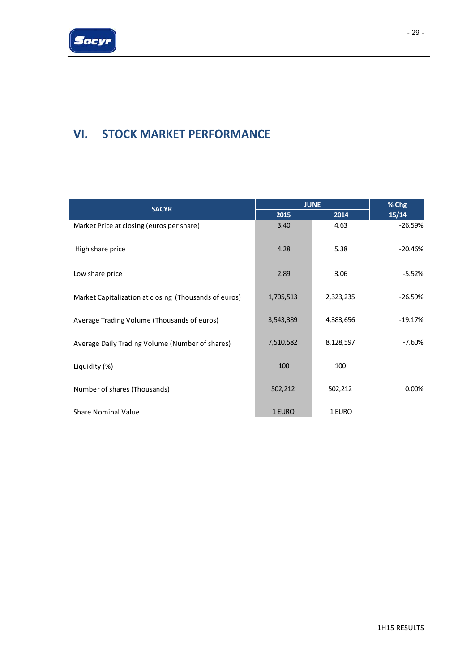# **VI. STOCK MARKET PERFORMANCE**

| <b>SACYR</b>                                          | <b>JUNE</b> | % Chg     |           |
|-------------------------------------------------------|-------------|-----------|-----------|
|                                                       | 2015        | 2014      | 15/14     |
| Market Price at closing (euros per share)             | 3.40        | 4.63      | $-26.59%$ |
| High share price                                      | 4.28        | 5.38      | $-20.46%$ |
| Low share price                                       | 2.89        | 3.06      | $-5.52%$  |
| Market Capitalization at closing (Thousands of euros) | 1,705,513   | 2,323,235 | $-26.59%$ |
| Average Trading Volume (Thousands of euros)           | 3,543,389   | 4,383,656 | $-19.17%$ |
| Average Daily Trading Volume (Number of shares)       | 7,510,582   | 8,128,597 | -7.60%    |
| Liquidity (%)                                         | 100         | 100       |           |
| Number of shares (Thousands)                          | 502,212     | 502,212   | $0.00\%$  |
| <b>Share Nominal Value</b>                            | 1 EURO      | 1 EURO    |           |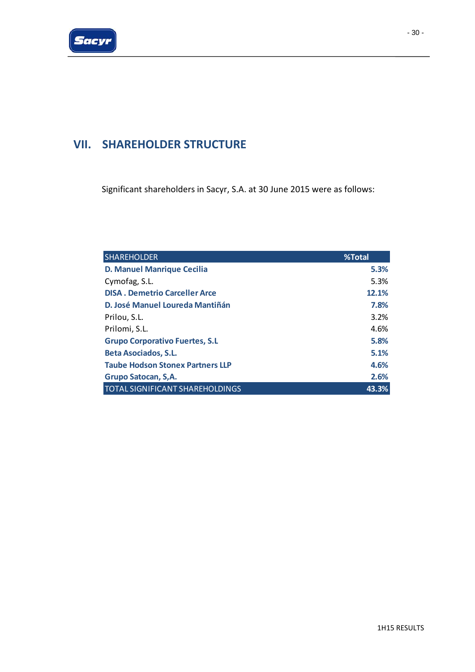## **VII. SHAREHOLDER STRUCTURE**

Significant shareholders in Sacyr, S.A. at 30 June 2015 were as follows:

| <b>SHAREHOLDER</b>                      | %Total |
|-----------------------------------------|--------|
| <b>D. Manuel Manrique Cecilia</b>       | 5.3%   |
| Cymofag, S.L.                           | 5.3%   |
| <b>DISA. Demetrio Carceller Arce</b>    | 12.1%  |
| D. José Manuel Loureda Mantiñán         | 7.8%   |
| Prilou, S.L.                            | 3.2%   |
| Prilomi, S.L.                           | 4.6%   |
| <b>Grupo Corporativo Fuertes, S.L</b>   | 5.8%   |
| <b>Beta Asociados, S.L.</b>             | 5.1%   |
| <b>Taube Hodson Stonex Partners LLP</b> | 4.6%   |
| Grupo Satocan, S,A.                     | 2.6%   |
| <b>TOTAL SIGNIFICANT SHAREHOLDINGS</b>  | 43.3%  |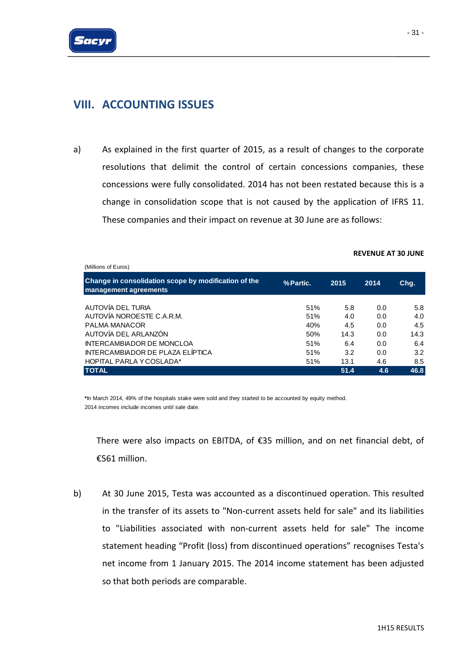

## **VIII. ACCOUNTING ISSUES**

a) As explained in the first quarter of 2015, as a result of changes to the corporate resolutions that delimit the control of certain concessions companies, these concessions were fully consolidated. 2014 has not been restated because this is a change in consolidation scope that is not caused by the application of IFRS 11. These companies and their impact on revenue at 30 June are as follows:

| (Millions of Euros)                                                           |          |      |      |      |
|-------------------------------------------------------------------------------|----------|------|------|------|
| Change in consolidation scope by modification of the<br>management agreements | %Partic. | 2015 | 2014 | Chg. |
|                                                                               |          |      |      |      |
| AUTOVÍA DEL TURIA                                                             | 51%      | 5.8  | 0.0  | 5.8  |
| AUTOVÍA NOROESTE C.A.R.M.                                                     | 51%      | 4.0  | 0.0  | 4.0  |
| <b>PAI MA MANACOR</b>                                                         | 40%      | 4.5  | 0.0  | 4.5  |
| AUTOVÍA DEL ARLANZÓN                                                          | 50%      | 14.3 | 0.0  | 14.3 |
| <b>INTERCAMBIADOR DE MONCLOA</b>                                              | 51%      | 6.4  | 0.0  | 6.4  |
| INTERCAMBIADOR DE PLAZA ELÍPTICA                                              | 51%      | 3.2  | 0.0  | 3.2  |
| HOPITAL PARLA Y COSLADA*                                                      | 51%      | 13.1 | 4.6  | 8.5  |
| <b>TOTAL</b>                                                                  |          | 51.4 | 4.6  | 46.8 |

#### **REVENUE AT 30 JUNE**

**\***In March 2014, 49% of the hospitals stake were sold and they started to be accounted by equity method. 2014 incomes include incomes until sale date.

There were also impacts on EBITDA, of  $\epsilon$ 35 million, and on net financial debt, of €561 million.

b) At 30 June 2015, Testa was accounted as a discontinued operation. This resulted in the transfer of its assets to "Non-current assets held for sale" and its liabilities to "Liabilities associated with non‐current assets held for sale" The income statement heading "Profit (loss) from discontinued operations" recognises Testa's net income from 1 January 2015. The 2014 income statement has been adjusted so that both periods are comparable.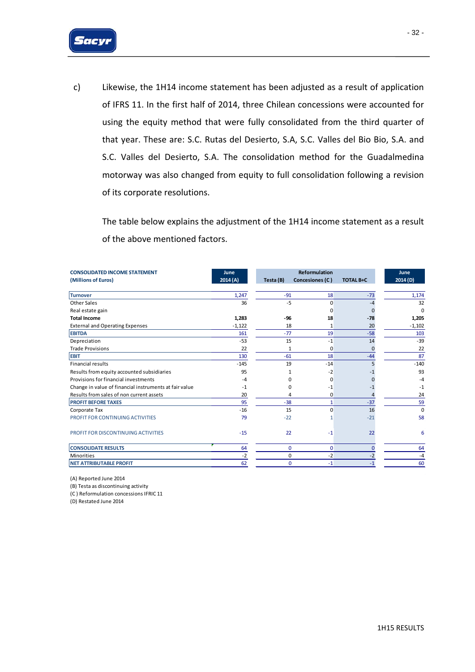

c) Likewise, the 1H14 income statement has been adjusted as a result of application of IFRS 11. In the first half of 2014, three Chilean concessions were accounted for using the equity method that were fully consolidated from the third quarter of that year. These are: S.C. Rutas del Desierto, S.A, S.C. Valles del Bio Bio, S.A. and S.C. Valles del Desierto, S.A. The consolidation method for the Guadalmedina motorway was also changed from equity to full consolidation following a revision of its corporate resolutions.

The table below explains the adjustment of the 1H14 income statement as a result of the above mentioned factors.

| <b>CONSOLIDATED INCOME STATEMENT</b>                   | June     | Reformulation |                 |                  | June     |  |
|--------------------------------------------------------|----------|---------------|-----------------|------------------|----------|--|
| (Millions of Euros)                                    | 2014(A)  | Testa (B)     | Concesiones (C) | <b>TOTAL B+C</b> | 2014(D)  |  |
| <b>Turnover</b>                                        | 1,247    | $-91$         | 18              | $-73$            | 1,174    |  |
| Other Sales                                            | 36       | $-5$          | $\Omega$        | -4               | 32       |  |
| Real estate gain                                       |          |               | o               |                  | $\Omega$ |  |
| <b>Total Income</b>                                    | 1,283    | -96           | 18              | $-78$            | 1,205    |  |
| <b>External and Operating Expenses</b>                 | $-1,122$ | 18            | 1               | 20               | $-1,102$ |  |
| <b>EBITDA</b>                                          | 161      | $-77$         | 19              | $-58$            | 103      |  |
| Depreciation                                           | $-53$    | 15            | $-1$            | 14               | $-39$    |  |
| <b>Trade Provisions</b>                                | 22       | 1             | 0               | $\Omega$         | 22       |  |
| <b>EBIT</b>                                            | 130      | $-61$         | 18              | $-44$            | 87       |  |
| <b>Financial results</b>                               | $-145$   | 19            | $-14$           |                  | $-140$   |  |
| Results from equity accounted subsidiaries             | 95       | 1             | $-2$            |                  | 93       |  |
| Provisions for financial investments                   | -4       | ŋ             | $\Omega$        |                  | $-4$     |  |
| Change in value of financial instruments at fair value | -1       | ŋ             | -1              |                  | $-1$     |  |
| Results from sales of non current assets               | 20       | 4             | 0               |                  | 24       |  |
| <b>PROFIT BEFORE TAXES</b>                             | 95       | $-38$         | $\mathbf{1}$    | $-37$            | 59       |  |
| Corporate Tax                                          | $-16$    | 15            | $\Omega$        | 16               | $\Omega$ |  |
| PROFIT FOR CONTINUING ACTIVITIES                       | 79       | $-22$         |                 | $-21$            | 58       |  |
| PROFIT FOR DISCONTINUING ACTIVITIES                    | $-15$    | 22            | $-1$            | 22               | 6        |  |
| <b>CONSOLIDATE RESULTS</b>                             | 64       | $\mathbf{0}$  | $\mathbf{0}$    | $\Omega$         | 64       |  |
| <b>Minorities</b>                                      | $-2$     | $\mathbf 0$   | $-2$            | $-2$             | $-4$     |  |
| <b>NET ATTRIBUTABLE PROFIT</b>                         | 62       | $\mathbf{0}$  | $-1$            | $-1$             | 60       |  |

(A) Reported June 2014

(B) Testa as discontinuing activity

(C ) Reformulation concessions IFRIC 11

(D) Restated June 2014